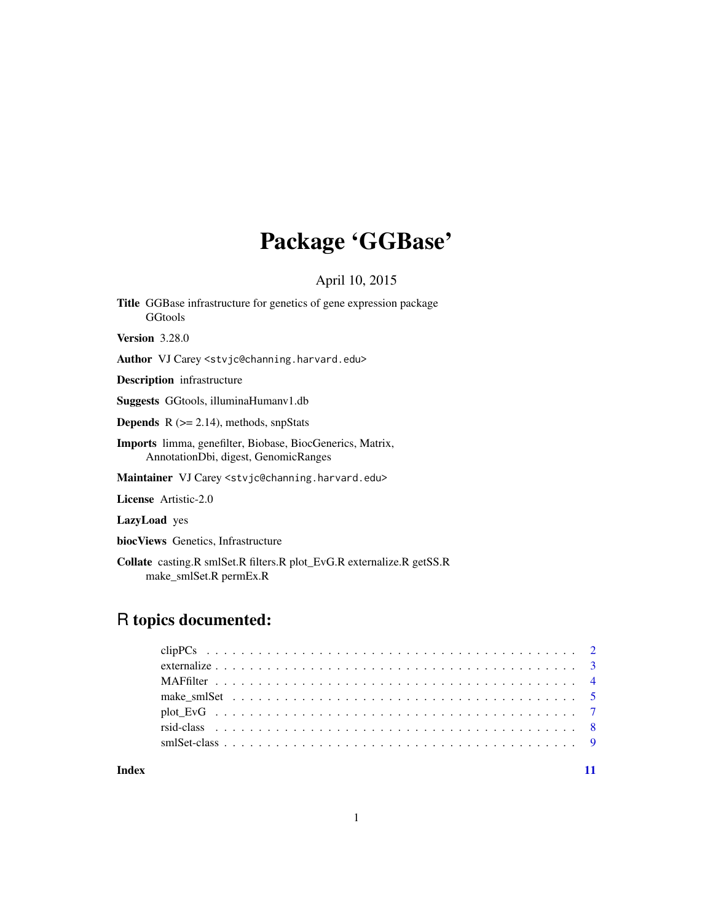## Package 'GGBase'

April 10, 2015

<span id="page-0-0"></span>Title GGBase infrastructure for genetics of gene expression package **GGtools** Version 3.28.0

Author VJ Carey <stvjc@channing.harvard.edu>

Description infrastructure

Suggests GGtools, illuminaHumanv1.db

**Depends**  $R$  ( $>= 2.14$ ), methods, snpStats

Imports limma, genefilter, Biobase, BiocGenerics, Matrix, AnnotationDbi, digest, GenomicRanges

Maintainer VJ Carey <stvjc@channing.harvard.edu>

License Artistic-2.0

LazyLoad yes

biocViews Genetics, Infrastructure

Collate casting.R smlSet.R filters.R plot\_EvG.R externalize.R getSS.R make\_smlSet.R permEx.R

## R topics documented:

#### **Index** [11](#page-10-0)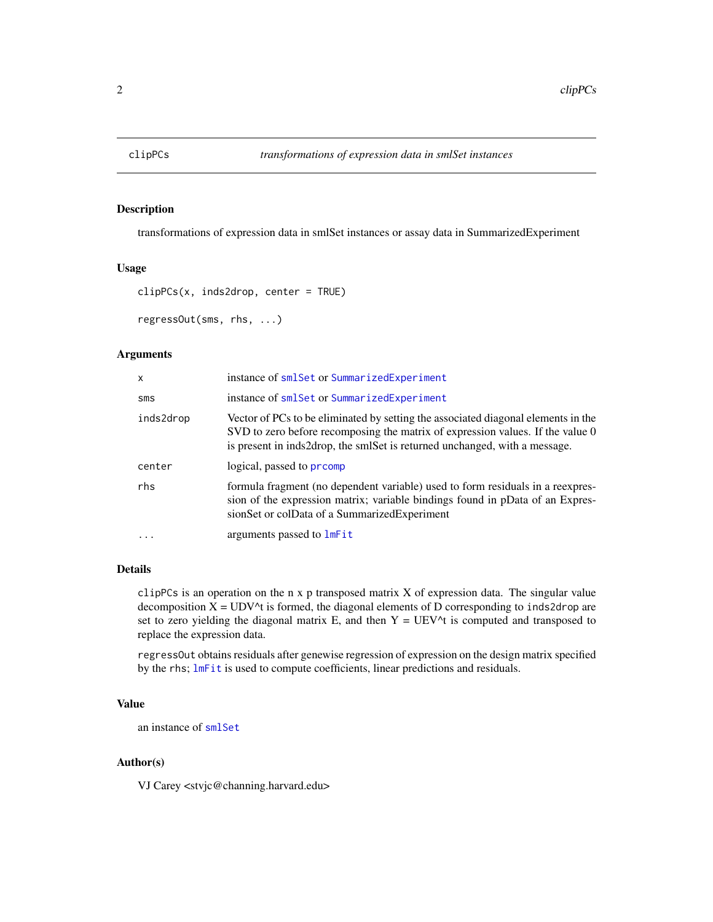<span id="page-1-0"></span>

#### Description

transformations of expression data in smlSet instances or assay data in SummarizedExperiment

## Usage

```
clipPCs(x, inds2drop, center = TRUE)
regressOut(sms, rhs, ...)
```
## Arguments

| X         | instance of smlSet or SummarizedExperiment                                                                                                                                                                                                        |
|-----------|---------------------------------------------------------------------------------------------------------------------------------------------------------------------------------------------------------------------------------------------------|
| SMS       | instance of smlSet or SummarizedExperiment                                                                                                                                                                                                        |
| inds2drop | Vector of PCs to be eliminated by setting the associated diagonal elements in the<br>SVD to zero before recomposing the matrix of expression values. If the value 0<br>is present in inds2drop, the smlSet is returned unchanged, with a message. |
| center    | logical, passed to promp                                                                                                                                                                                                                          |
| rhs       | formula fragment (no dependent variable) used to form residuals in a reexpres-<br>sion of the expression matrix; variable bindings found in pData of an Expres-<br>sionSet or colData of a SummarizedExperiment                                   |
| $\ddotsc$ | arguments passed to lmFit                                                                                                                                                                                                                         |

## Details

clipPCs is an operation on the n x p transposed matrix X of expression data. The singular value decomposition  $X = UDV^{\wedge}t$  is formed, the diagonal elements of D corresponding to inds2drop are set to zero yielding the diagonal matrix E, and then  $Y = UEV^{\wedge}t$  is computed and transposed to replace the expression data.

regressOut obtains residuals after genewise regression of expression on the design matrix specified by the rhs; [lmFit](#page-0-0) is used to compute coefficients, linear predictions and residuals.

#### Value

an instance of [smlSet](#page-8-1)

## Author(s)

VJ Carey <stvjc@channing.harvard.edu>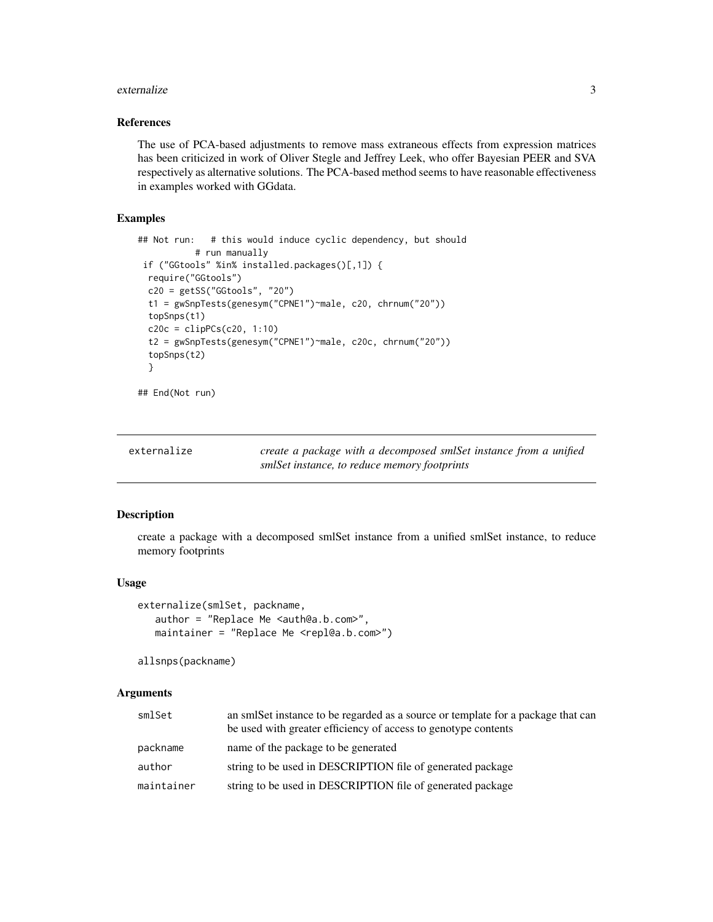#### <span id="page-2-0"></span>externalize 3

#### References

The use of PCA-based adjustments to remove mass extraneous effects from expression matrices has been criticized in work of Oliver Stegle and Jeffrey Leek, who offer Bayesian PEER and SVA respectively as alternative solutions. The PCA-based method seems to have reasonable effectiveness in examples worked with GGdata.

#### Examples

```
## Not run: # this would induce cyclic dependency, but should
          # run manually
if ("GGtools" %in% installed.packages()[,1]) {
 require("GGtools")
 c20 = getSS("GGtools", "20")
 t1 = gwSnpTests(genesym("CPNE1")~male, c20, chrnum("20"))
 topSnps(t1)
 c20c = clipPCs(c20, 1:10)t2 = gwSnpTests(genesym("CPNE1")~male, c20c, chrnum("20"))
 topSnps(t2)
 }
## End(Not run)
```
<span id="page-2-1"></span>

| externalize | create a package with a decomposed smlSet instance from a unified |
|-------------|-------------------------------------------------------------------|
|             | smlSet instance, to reduce memory footprints                      |

#### Description

create a package with a decomposed smlSet instance from a unified smlSet instance, to reduce memory footprints

#### Usage

```
externalize(smlSet, packname,
   author = "Replace Me <auth@a.b.com>",
   maintainer = "Replace Me <repl@a.b.com>")
```
allsnps(packname)

#### Arguments

| smlSet     | an smlSet instance to be regarded as a source or template for a package that can<br>be used with greater efficiency of access to genotype contents |
|------------|----------------------------------------------------------------------------------------------------------------------------------------------------|
| packname   | name of the package to be generated                                                                                                                |
| author     | string to be used in DESCRIPTION file of generated package                                                                                         |
| maintainer | string to be used in DESCRIPTION file of generated package                                                                                         |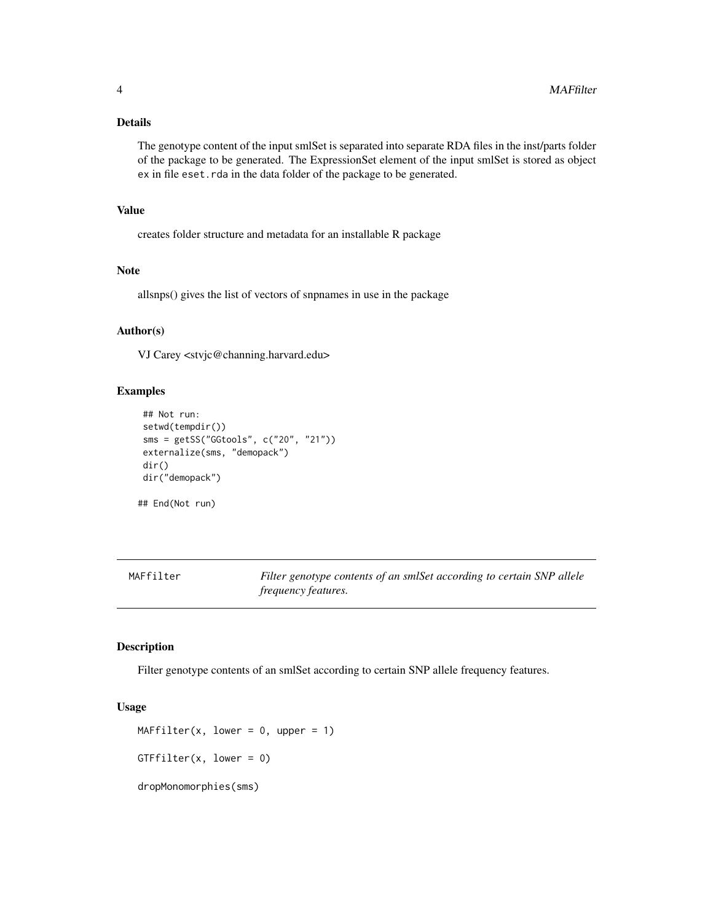#### <span id="page-3-0"></span>Details

The genotype content of the input smlSet is separated into separate RDA files in the inst/parts folder of the package to be generated. The ExpressionSet element of the input smlSet is stored as object ex in file eset.rda in the data folder of the package to be generated.

#### Value

creates folder structure and metadata for an installable R package

#### Note

allsnps() gives the list of vectors of snpnames in use in the package

#### Author(s)

VJ Carey <stvjc@channing.harvard.edu>

#### Examples

```
## Not run:
setwd(tempdir())
sms = getSS("GGtools", c("20", "21"))
externalize(sms, "demopack")
dir()
dir("demopack")
```
## End(Not run)

MAFfilter *Filter genotype contents of an smlSet according to certain SNP allele frequency features.*

## Description

Filter genotype contents of an smlSet according to certain SNP allele frequency features.

#### Usage

```
MAFfilter(x, lower = 0, upper = 1)GTFfilter(x, lower = 0)dropMonomorphies(sms)
```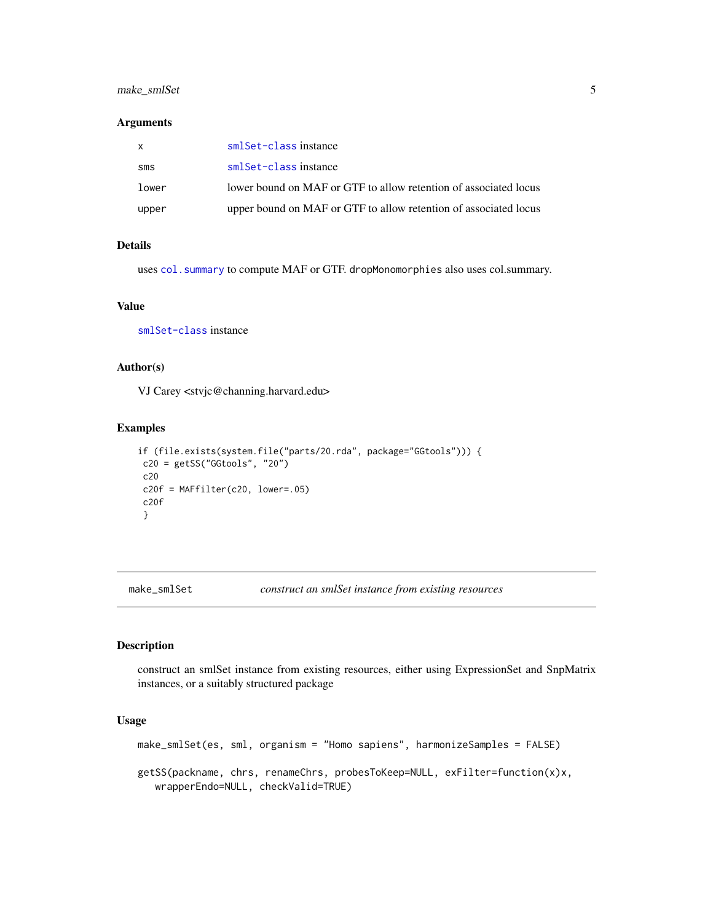## <span id="page-4-0"></span>make\_smlSet 5

#### Arguments

|       | smlSet-class instance                                            |
|-------|------------------------------------------------------------------|
| sms   | smlSet-class instance                                            |
| lower | lower bound on MAF or GTF to allow retention of associated locus |
| upper | upper bound on MAF or GTF to allow retention of associated locus |

## Details

uses [col.summary](#page-0-0) to compute MAF or GTF. dropMonomorphies also uses col.summary.

#### Value

[smlSet-class](#page-8-1) instance

## Author(s)

VJ Carey <stvjc@channing.harvard.edu>

#### Examples

```
if (file.exists(system.file("parts/20.rda", package="GGtools"))) {
c20 = getSS("GGtools", "20")
c20
c20f = MAFfilter(c20, lower=.05)c20f
}
```
make\_smlSet *construct an smlSet instance from existing resources*

## Description

construct an smlSet instance from existing resources, either using ExpressionSet and SnpMatrix instances, or a suitably structured package

## Usage

make\_smlSet(es, sml, organism = "Homo sapiens", harmonizeSamples = FALSE) getSS(packname, chrs, renameChrs, probesToKeep=NULL, exFilter=function(x)x, wrapperEndo=NULL, checkValid=TRUE)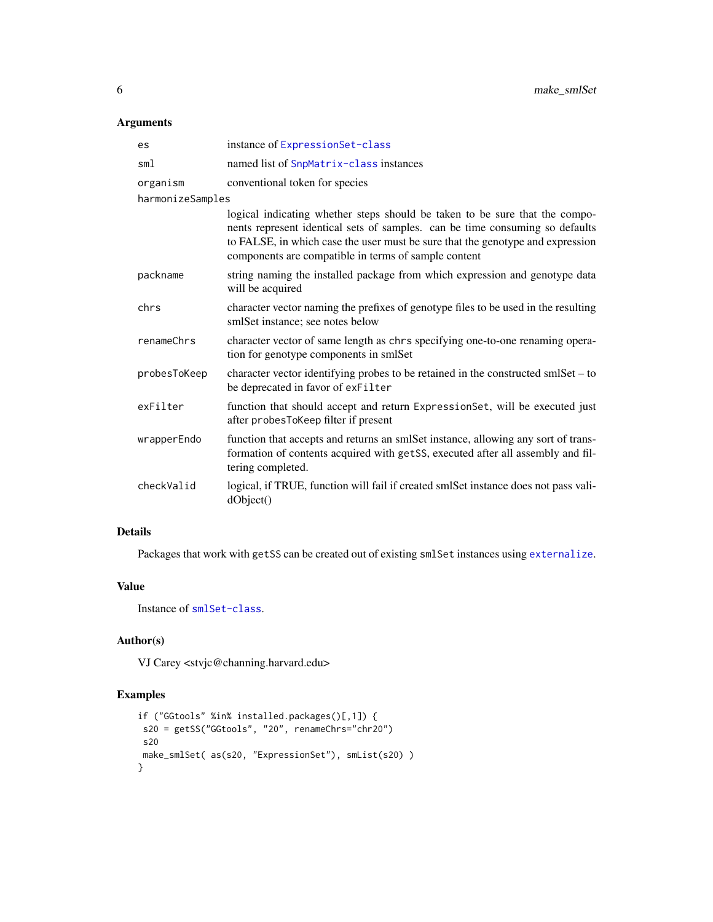## Arguments

| es               | instance of ExpressionSet-class                                                                                                                                                                                                                                                                       |
|------------------|-------------------------------------------------------------------------------------------------------------------------------------------------------------------------------------------------------------------------------------------------------------------------------------------------------|
| sml              | named list of SnpMatrix-class instances                                                                                                                                                                                                                                                               |
| organism         | conventional token for species                                                                                                                                                                                                                                                                        |
| harmonizeSamples |                                                                                                                                                                                                                                                                                                       |
|                  | logical indicating whether steps should be taken to be sure that the compo-<br>nents represent identical sets of samples. can be time consuming so defaults<br>to FALSE, in which case the user must be sure that the genotype and expression<br>components are compatible in terms of sample content |
| packname         | string naming the installed package from which expression and genotype data<br>will be acquired                                                                                                                                                                                                       |
| chrs             | character vector naming the prefixes of genotype files to be used in the resulting<br>smlSet instance; see notes below                                                                                                                                                                                |
| renameChrs       | character vector of same length as chrs specifying one-to-one renaming opera-<br>tion for genotype components in smlSet                                                                                                                                                                               |
| probesToKeep     | character vector identifying probes to be retained in the constructed smlSet – to<br>be deprecated in favor of exFilter                                                                                                                                                                               |
| exFilter         | function that should accept and return ExpressionSet, will be executed just<br>after probesToKeep filter if present                                                                                                                                                                                   |
| wrapperEndo      | function that accepts and returns an smlSet instance, allowing any sort of trans-<br>formation of contents acquired with getSS, executed after all assembly and fil-<br>tering completed.                                                                                                             |
| checkValid       | logical, if TRUE, function will fail if created smlSet instance does not pass vali-<br>dObject()                                                                                                                                                                                                      |

## Details

Packages that work with getSS can be created out of existing smlSet instances using [externalize](#page-2-1).

#### Value

Instance of [smlSet-class](#page-8-1).

## Author(s)

VJ Carey <stvjc@channing.harvard.edu>

## Examples

```
if ("GGtools" %in% installed.packages()[,1]) {
s20 = getSS("GGtools", "20", renameChrs="chr20")
s20
make_smlSet( as(s20, "ExpressionSet"), smList(s20) )
}
```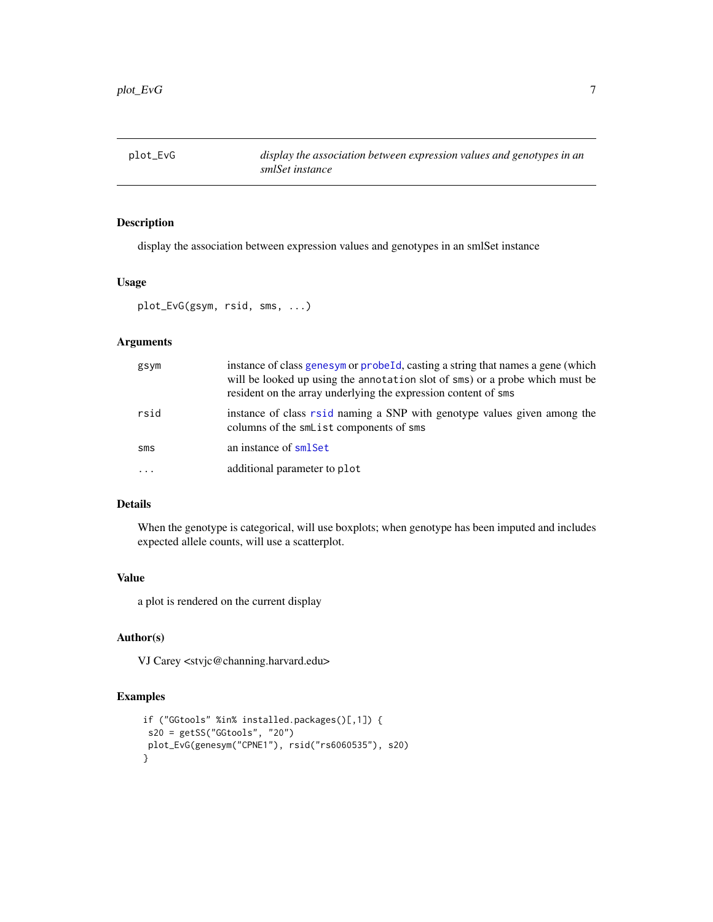<span id="page-6-0"></span>plot\_EvG *display the association between expression values and genotypes in an smlSet instance*

## Description

display the association between expression values and genotypes in an smlSet instance

## Usage

plot\_EvG(gsym, rsid, sms, ...)

## Arguments

| gsym       | instance of class genesym or probeld, casting a string that names a gene (which<br>will be looked up using the annotation slot of sms) or a probe which must be<br>resident on the array underlying the expression content of sms |
|------------|-----------------------------------------------------------------------------------------------------------------------------------------------------------------------------------------------------------------------------------|
| rsid       | instance of class rsid naming a SNP with genotype values given among the<br>columns of the smllist components of sms                                                                                                              |
| SMS        | an instance of smlSet                                                                                                                                                                                                             |
| $\ddots$ . | additional parameter to plot                                                                                                                                                                                                      |

#### Details

When the genotype is categorical, will use boxplots; when genotype has been imputed and includes expected allele counts, will use a scatterplot.

#### Value

a plot is rendered on the current display

#### Author(s)

VJ Carey <stvjc@channing.harvard.edu>

#### Examples

```
if ("GGtools" %in% installed.packages()[,1]) {
 s20 = getSS("GGtools", "20")
plot_EvG(genesym("CPNE1"), rsid("rs6060535"), s20)
}
```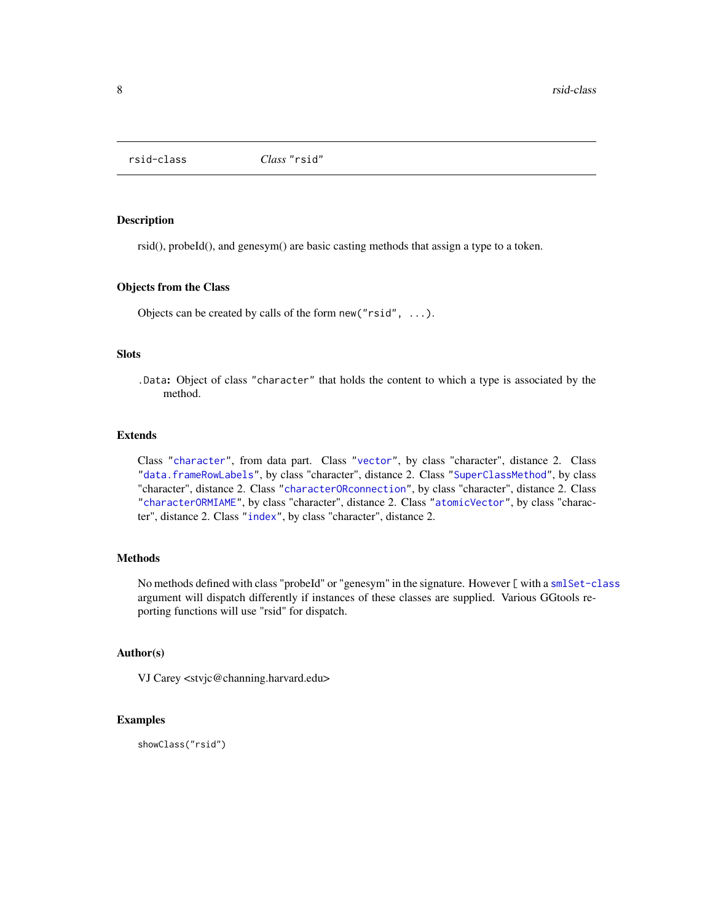<span id="page-7-2"></span><span id="page-7-0"></span>

#### <span id="page-7-1"></span>Description

rsid(), probeId(), and genesym() are basic casting methods that assign a type to a token.

#### Objects from the Class

Objects can be created by calls of the form new("rsid", ...).

#### **Slots**

.Data: Object of class "character" that holds the content to which a type is associated by the method.

#### Extends

Class ["character"](#page-0-0), from data part. Class ["vector"](#page-0-0), by class "character", distance 2. Class ["data.frameRowLabels"](#page-0-0), by class "character", distance 2. Class ["SuperClassMethod"](#page-0-0), by class "character", distance 2. Class ["characterORconnection"](#page-0-0), by class "character", distance 2. Class ["characterORMIAME"](#page-0-0), by class "character", distance 2. Class ["atomicVector"](#page-0-0), by class "character", distance 2. Class ["index"](#page-0-0), by class "character", distance 2.

#### Methods

No methods defined with class "probeId" or "genesym" in the signature. However [ with a [smlSet-class](#page-8-1) argument will dispatch differently if instances of these classes are supplied. Various GGtools reporting functions will use "rsid" for dispatch.

## Author(s)

VJ Carey <stvjc@channing.harvard.edu>

#### Examples

showClass("rsid")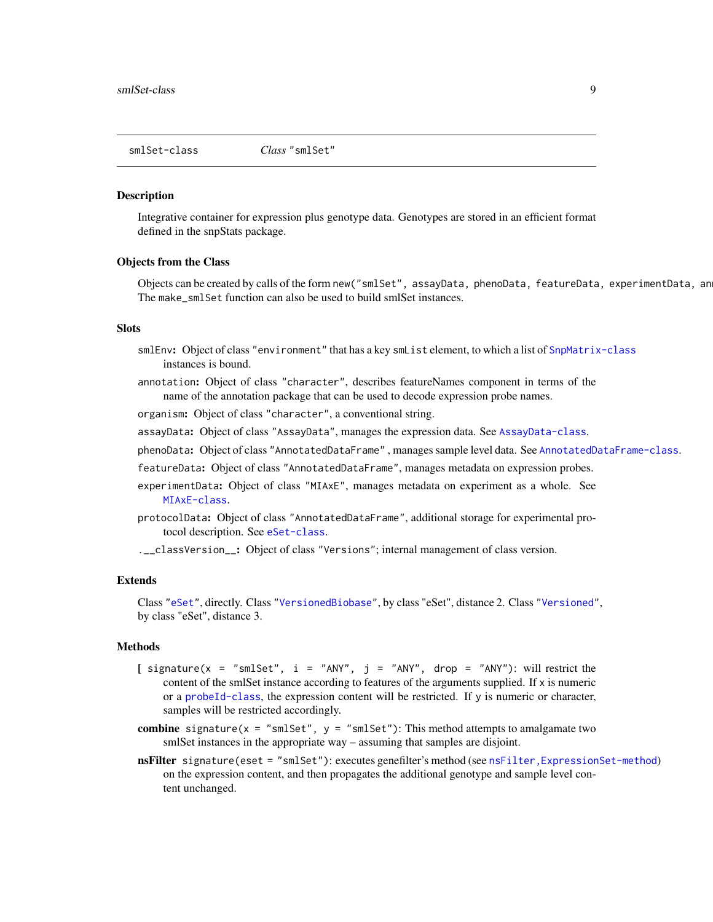<span id="page-8-1"></span><span id="page-8-0"></span>smlSet-class *Class* "smlSet"

#### **Description**

Integrative container for expression plus genotype data. Genotypes are stored in an efficient format defined in the snpStats package.

#### Objects from the Class

Objects can be created by calls of the form new("smlSet", assayData, phenoData, featureData, experimentData, an The make\_smlSet function can also be used to build smlSet instances.

#### **Slots**

- smlEnv: Object of class "environment" that has a key smlist element, to which a list of [SnpMatrix-class](#page-0-0) instances is bound.
- annotation: Object of class "character", describes featureNames component in terms of the name of the annotation package that can be used to decode expression probe names.

organism: Object of class "character", a conventional string.

- assayData: Object of class "AssayData", manages the expression data. See [AssayData-class](#page-0-0).
- phenoData: Object of class "AnnotatedDataFrame" , manages sample level data. See [AnnotatedDataFrame-class](#page-0-0).
- featureData: Object of class "AnnotatedDataFrame", manages metadata on expression probes.
- experimentData: Object of class "MIAxE", manages metadata on experiment as a whole. See [MIAxE-class](#page-0-0).
- protocolData: Object of class "AnnotatedDataFrame", additional storage for experimental protocol description. See [eSet-class](#page-0-0).

.\_\_classVersion\_\_: Object of class "Versions"; internal management of class version.

#### Extends

Class ["eSet"](#page-0-0), directly. Class ["VersionedBiobase"](#page-0-0), by class "eSet", distance 2. Class ["Versioned"](#page-0-0), by class "eSet", distance 3.

#### Methods

- [ signature(x = "smlSet",  $i =$  "ANY",  $j =$  "ANY", drop = "ANY"): will restrict the content of the smlSet instance according to features of the arguments supplied. If x is numeric or a [probeId-class](#page-7-1), the expression content will be restricted. If y is numeric or character, samples will be restricted accordingly.
- combine signature( $x = "smlset", y = "smlset")$ : This method attempts to amalgamate two smlSet instances in the appropriate way – assuming that samples are disjoint.
- nsFilter signature(eset = "smlSet"): executes genefilter's method (see nsFilter, ExpressionSet-method) on the expression content, and then propagates the additional genotype and sample level content unchanged.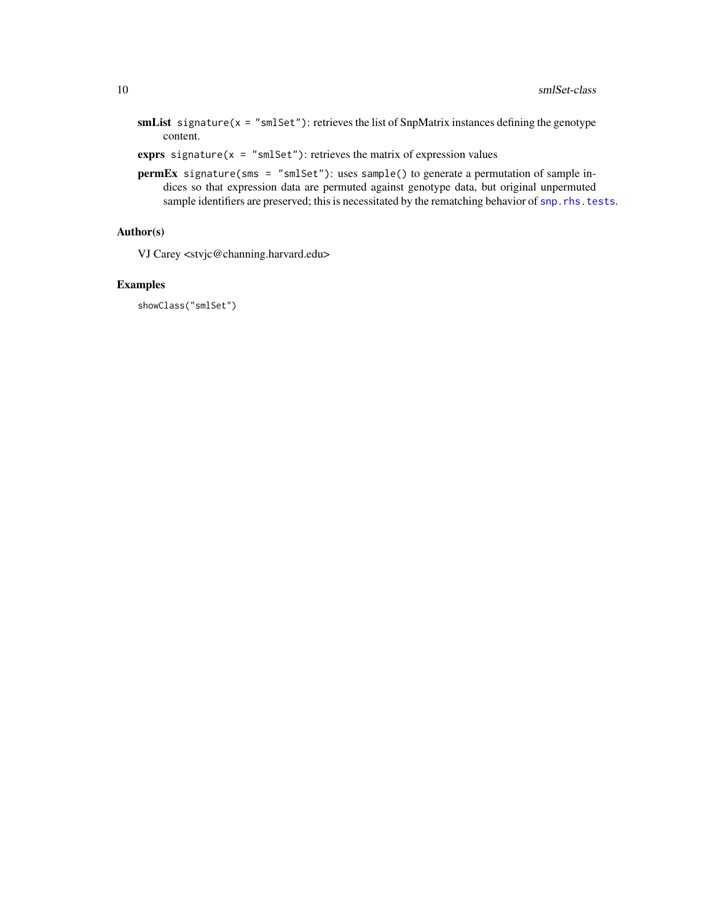- smList signature( $x =$  "smlSet"): retrieves the list of SnpMatrix instances defining the genotype content.
- exprs signature( $x =$  "smlSet"): retrieves the matrix of expression values
- permEx signature(sms = "smlSet"): uses sample() to generate a permutation of sample indices so that expression data are permuted against genotype data, but original unpermuted sample identifiers are preserved; this is necessitated by the rematching behavior of [snp.rhs.tests](#page-0-0).

## Author(s)

VJ Carey <stvjc@channing.harvard.edu>

#### Examples

showClass("smlSet")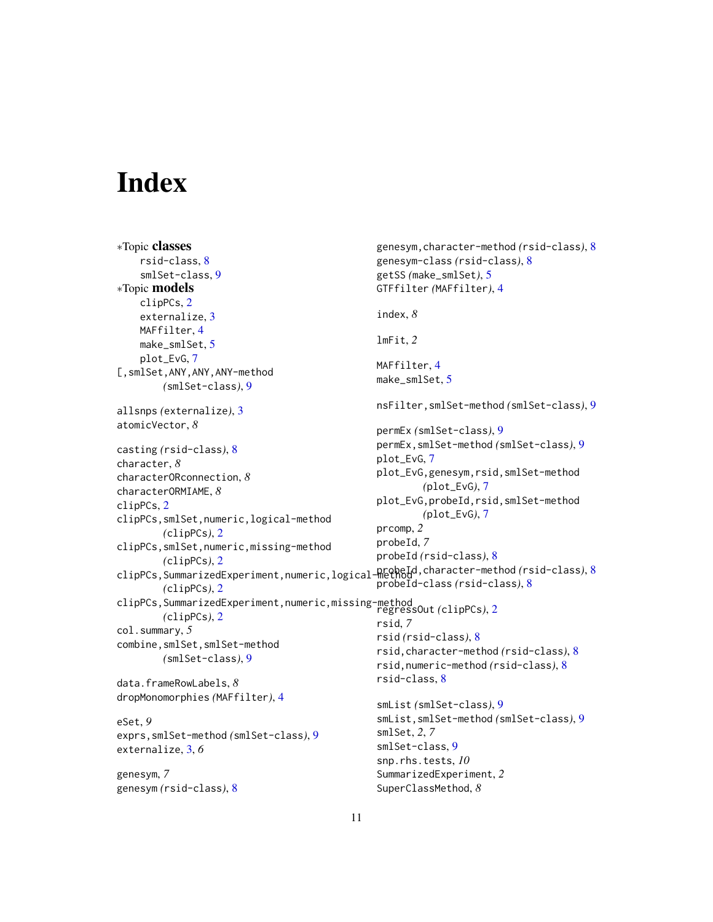# <span id="page-10-0"></span>**Index**

```
∗Topic classes
    rsid-class, 8
    smlSet-class, 9
∗Topic models
    clipPCs, 2
    externalize, 3
    MAFfilter, 4
    make_smlSet, 5
    plot_EvG, 7
[,smlSet,ANY,ANY,ANY-method
        (smlSet-class), 9
allsnps (externalize), 3
atomicVector, 8
casting (rsid-class), 8
character, 8
characterORconnection, 8
characterORMIAME, 8
clipPCs, 2
clipPCs,smlSet,numeric,logical-method
        (clipPCs), 2
clipPCs,smlSet,numeric,missing-method
        (clipPCs), 2
clipPCs,SummarizedExperiment,numeric,logical-method
probeId,character-method (rsid-class), 8
        (clipPCs), 2
clipPCs,SummarizedExperiment,numeric,missing-method
regressOut (clipPCs), 2
        (clipPCs), 2
col.summary, 5
combine,smlSet,smlSet-method
        (smlSet-class), 9
data.frameRowLabels, 8
dropMonomorphies (MAFfilter), 4
eSet, 9
exprs,smlSet-method (smlSet-class), 9
externalize, 3, 6
genesym, 7
genesym (rsid-class), 8
                                                 genesym,character-method (rsid-class), 8
                                                 genesym-class (rsid-class), 8
                                                 getSS (make_smlSet), 5
                                                 GTFfilter (MAFfilter), 4
                                                 index, 8
                                                 lmFit, 2
                                                 MAFfilter, 4
                                                 make_smlSet, 5
                                                 nsFilter,smlSet-method (smlSet-class), 9
                                                 permEx (smlSet-class), 9
                                                 permEx,smlSet-method (smlSet-class), 9
                                                 plot_EvG, 7
                                                 plot_EvG,genesym,rsid,smlSet-method
                                                         (plot_EvG), 7
                                                 plot_EvG,probeId,rsid,smlSet-method
                                                         (plot_EvG), 7
                                                 prcomp, 2
                                                 probeId, 7
                                                 probeId (rsid-class), 8
                                                 probeId-class (rsid-class), 8
                                                 rsid, 7
                                                 rsid (rsid-class), 8
                                                 rsid,character-method (rsid-class), 8
                                                 rsid,numeric-method (rsid-class), 8
                                                 rsid-class, 8
                                                 smList (smlSet-class), 9
                                                 smList,smlSet-method (smlSet-class), 9
                                                 smlSet, 2, 7
                                                 smlSet-class, 9
                                                 snp.rhs.tests, 10
                                                 SummarizedExperiment, 2
                                                 SuperClassMethod, 8
```